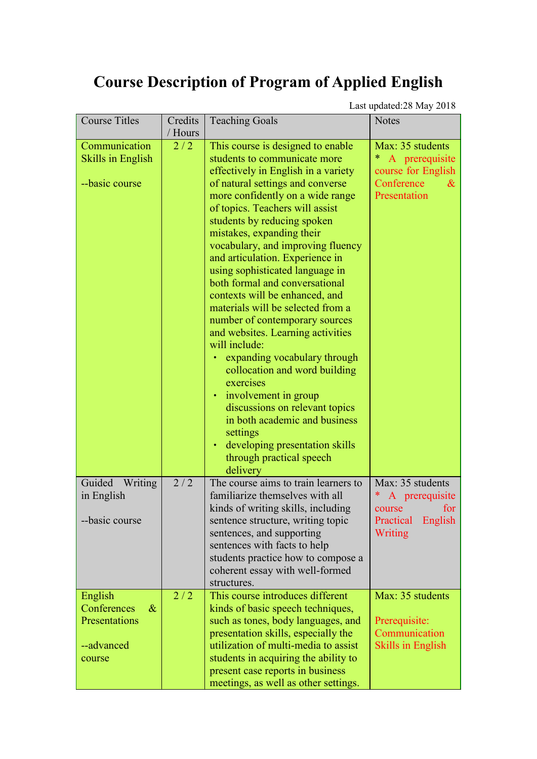## **Course Description of Program of Applied English**

Last updated:28 May 2018

| <b>Course Titles</b>     | Credits | <b>Teaching Goals</b>                                               | <b>Notes</b>             |
|--------------------------|---------|---------------------------------------------------------------------|--------------------------|
|                          | / Hours |                                                                     |                          |
| Communication            | 2/2     | This course is designed to enable                                   | Max: 35 students         |
| <b>Skills in English</b> |         | students to communicate more                                        | A prerequisite           |
|                          |         | effectively in English in a variety                                 | course for English       |
| --basic course           |         | of natural settings and converse                                    | Conference<br>$\&$       |
|                          |         | more confidently on a wide range                                    | Presentation             |
|                          |         | of topics. Teachers will assist                                     |                          |
|                          |         | students by reducing spoken                                         |                          |
|                          |         | mistakes, expanding their                                           |                          |
|                          |         | vocabulary, and improving fluency                                   |                          |
|                          |         | and articulation. Experience in                                     |                          |
|                          |         | using sophisticated language in                                     |                          |
|                          |         | both formal and conversational                                      |                          |
|                          |         | contexts will be enhanced, and<br>materials will be selected from a |                          |
|                          |         | number of contemporary sources                                      |                          |
|                          |         | and websites. Learning activities                                   |                          |
|                          |         | will include:                                                       |                          |
|                          |         | expanding vocabulary through                                        |                          |
|                          |         | collocation and word building                                       |                          |
|                          |         | exercises                                                           |                          |
|                          |         | • involvement in group                                              |                          |
|                          |         | discussions on relevant topics                                      |                          |
|                          |         | in both academic and business                                       |                          |
|                          |         | settings                                                            |                          |
|                          |         | developing presentation skills                                      |                          |
|                          |         | through practical speech                                            |                          |
|                          |         | delivery                                                            |                          |
| Guided<br>Writing        | 2/2     | The course aims to train learners to                                | Max: 35 students         |
| in English               |         | familiarize themselves with all                                     | A prerequisite           |
|                          |         | kinds of writing skills, including                                  | for<br>course            |
| --basic course           |         | sentence structure, writing topic                                   | Practical English        |
|                          |         | sentences, and supporting<br>sentences with facts to help           | Writing                  |
|                          |         | students practice how to compose a                                  |                          |
|                          |         | coherent essay with well-formed                                     |                          |
|                          |         | structures.                                                         |                          |
| English                  | 2/2     | This course introduces different                                    | Max: 35 students         |
| Conferences<br>$\&$      |         | kinds of basic speech techniques,                                   |                          |
| Presentations            |         | such as tones, body languages, and                                  | Prerequisite:            |
|                          |         | presentation skills, especially the                                 | Communication            |
| --advanced               |         | utilization of multi-media to assist                                | <b>Skills in English</b> |
| course                   |         | students in acquiring the ability to                                |                          |
|                          |         | present case reports in business                                    |                          |
|                          |         | meetings, as well as other settings.                                |                          |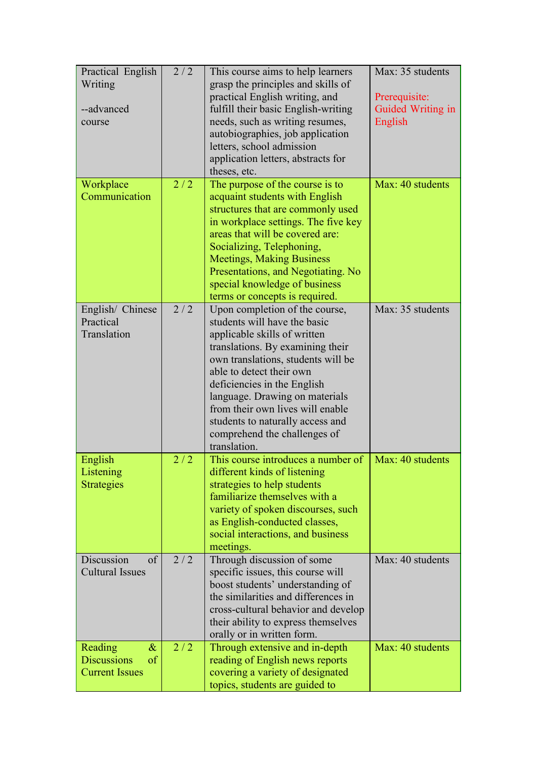| Practical English              | 2/2 | This course aims to help learners   | Max: 35 students  |
|--------------------------------|-----|-------------------------------------|-------------------|
| Writing                        |     | grasp the principles and skills of  |                   |
|                                |     | practical English writing, and      | Prerequisite:     |
| --advanced                     |     | fulfill their basic English-writing | Guided Writing in |
| course                         |     | needs, such as writing resumes,     | English           |
|                                |     | autobiographies, job application    |                   |
|                                |     | letters, school admission           |                   |
|                                |     | application letters, abstracts for  |                   |
|                                |     | theses, etc.                        |                   |
| Workplace                      | 2/2 | The purpose of the course is to     | Max: 40 students  |
| Communication                  |     | acquaint students with English      |                   |
|                                |     | structures that are commonly used   |                   |
|                                |     | in workplace settings. The five key |                   |
|                                |     | areas that will be covered are:     |                   |
|                                |     | Socializing, Telephoning,           |                   |
|                                |     | <b>Meetings, Making Business</b>    |                   |
|                                |     | Presentations, and Negotiating. No  |                   |
|                                |     | special knowledge of business       |                   |
|                                |     | terms or concepts is required.      |                   |
| English/ Chinese               | 2/2 | Upon completion of the course,      | Max: 35 students  |
| Practical                      |     | students will have the basic        |                   |
| Translation                    |     | applicable skills of written        |                   |
|                                |     | translations. By examining their    |                   |
|                                |     | own translations, students will be  |                   |
|                                |     | able to detect their own            |                   |
|                                |     | deficiencies in the English         |                   |
|                                |     | language. Drawing on materials      |                   |
|                                |     | from their own lives will enable    |                   |
|                                |     | students to naturally access and    |                   |
|                                |     | comprehend the challenges of        |                   |
|                                |     | translation.                        |                   |
| English                        | 2/2 | This course introduces a number of  | Max: 40 students  |
| Listening                      |     | different kinds of listening        |                   |
| <b>Strategies</b>              |     | strategies to help students         |                   |
|                                |     | familiarize themselves with a       |                   |
|                                |     | variety of spoken discourses, such  |                   |
|                                |     | as English-conducted classes,       |                   |
|                                |     | social interactions, and business   |                   |
|                                |     | meetings.                           |                   |
| Discussion<br>$\sigma$         | 2/2 | Through discussion of some          | Max: 40 students  |
| <b>Cultural Issues</b>         |     | specific issues, this course will   |                   |
|                                |     | boost students' understanding of    |                   |
|                                |     | the similarities and differences in |                   |
|                                |     | cross-cultural behavior and develop |                   |
|                                |     | their ability to express themselves |                   |
|                                |     | orally or in written form.          |                   |
| Reading<br>$\&$                | 2/2 | Through extensive and in-depth      | Max: 40 students  |
| <b>Discussions</b><br>$\sigma$ |     | reading of English news reports     |                   |
| <b>Current Issues</b>          |     | covering a variety of designated    |                   |
|                                |     | topics, students are guided to      |                   |